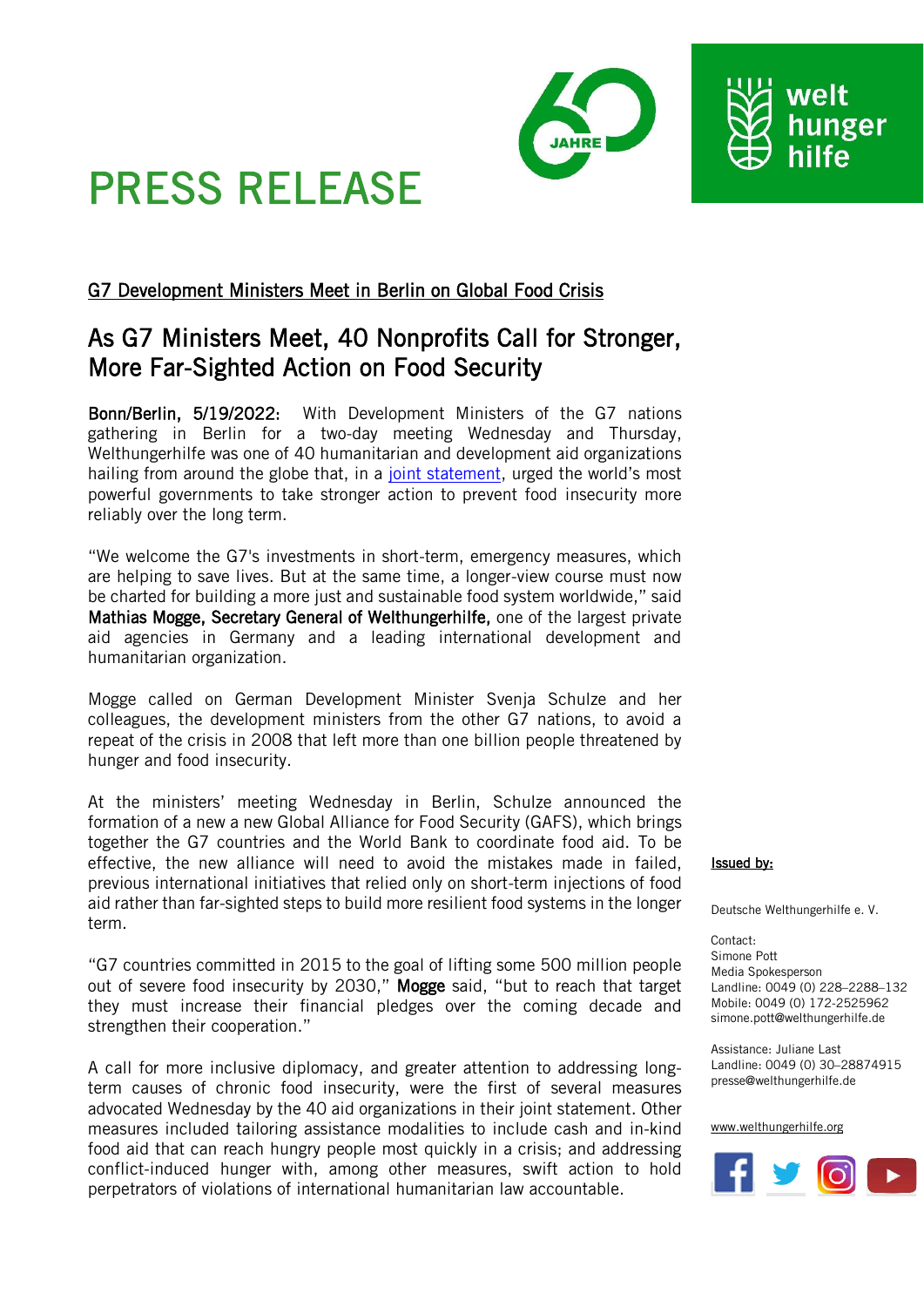

# PRESS RELEASE

# G7 Development Ministers Meet in Berlin on Global Food Crisis

# As G7 Ministers Meet, 40 Nonprofits Call for Stronger, More Far-Sighted Action on Food Security

Bonn/Berlin, 5/19/2022: With Development Ministers of the G7 nations gathering in Berlin for a two-day meeting Wednesday and Thursday, Welthungerhilfe was one of 40 humanitarian and development aid organizations hailing from around the globe that, in a [joint statement](https://www.care.org/news-and-stories/press-releases/we-need-solutions-now-to-address-global-food-insecurity-and-prevent-future-food-crises/), urged the world's most powerful governments to take stronger action to prevent food insecurity more reliably over the long term.

"We welcome the G7's investments in short-term, emergency measures, which are helping to save lives. But at the same time, a longer-view course must now be charted for building a more just and sustainable food system worldwide," said Mathias Mogge, Secretary General of Welthungerhilfe, one of the largest private aid agencies in Germany and a leading international development and humanitarian organization.

Mogge called on German Development Minister Svenja Schulze and her colleagues, the development ministers from the other G7 nations, to avoid a repeat of the crisis in 2008 that left more than one billion people threatened by hunger and food insecurity.

At the ministers' meeting Wednesday in Berlin, Schulze announced the formation of a new a new Global Alliance for Food Security (GAFS), which brings together the G7 countries and the World Bank to coordinate food aid. To be effective, the new alliance will need to avoid the mistakes made in failed, previous international initiatives that relied only on short-term injections of food aid rather than far-sighted steps to build more resilient food systems in the longer term.

"G7 countries committed in 2015 to the goal of lifting some 500 million people out of severe food insecurity by 2030," Mogge said, "but to reach that target they must increase their financial pledges over the coming decade and strengthen their cooperation."

A call for more inclusive diplomacy, and greater attention to addressing longterm causes of chronic food insecurity, were the first of several measures advocated Wednesday by the 40 aid organizations in their joint statement. Other measures included tailoring assistance modalities to include cash and in-kind food aid that can reach hungry people most quickly in a crisis; and addressing conflict-induced hunger with, among other measures, swift action to hold perpetrators of violations of international humanitarian law accountable.

## Issued by:

Deutsche Welthungerhilfe e. V.

Contact: Simone Pott Media Spokesperson Landline: 0049 (0) 228–2288–132 Mobile: 0049 (0) 172-2525962 simone.pott@welthungerhilfe.de

Assistance: Juliane Last Landline: 0049 (0) 30–28874915 presse@welthungerhilfe.de

#### [www.welthungerhilfe.org](file:///C:/Users/mael/AppData/Local/Temp/www.welthungerhilfe.org)